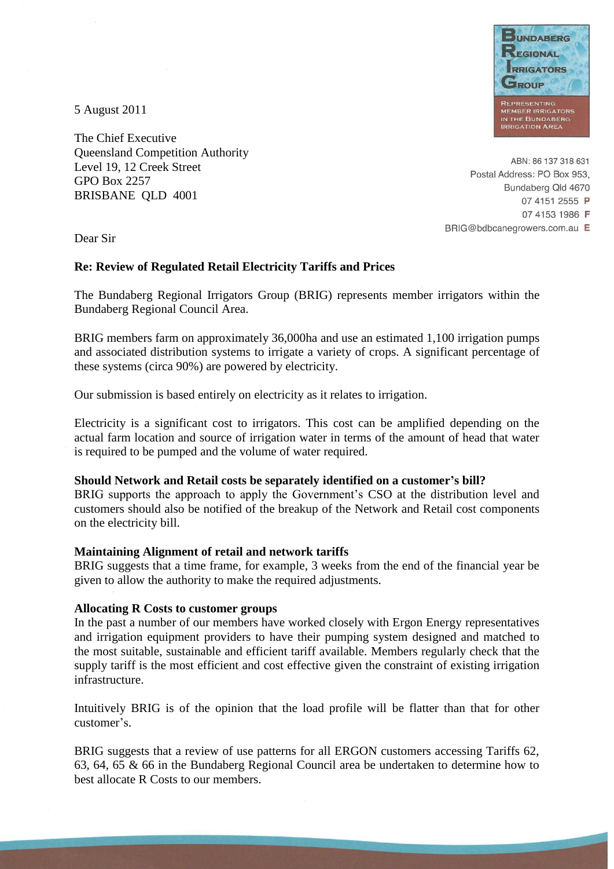

5 August 2011

The Chief Executive Queensland Competition Authority Level 19, 12 Creek Street GPO Box 2257 BRISBANE QLD 4001

ABN: 86 137 318 631 Postal Address: PO Box 953, Bundaberg Qld 4670 07 4151 2555 P 07 4153 1986 F BRIG@bdbcanegrowers.com.au E

Dear Sir

#### **Re: Review of Regulated Retail Electricity Tariffs and Prices**

The Bundaberg Regional Irrigators Group (BRIG) represents member irrigators within the Bundaberg Regional Council Area.

BRIG members farm on approximately 36,000ha and use an estimated 1,100 irrigation pumps and associated distribution systems to irrigate a variety of crops. A significant percentage of these systems (circa 90%) are powered by electricity.

Our submission is based entirely on electricity as it relates to irrigation.

Electricity is a significant cost to irrigators. This cost can be amplified depending on the actual farm location and source of irrigation water in terms of the amount of head that water is required to be pumped and the volume of water required.

#### **Should Network and Retail costs be separately identified on a customer's bill?**

BRIG supports the approach to apply the Government's CSO at the distribution level and customers should also be notified of the breakup of the Network and Retail cost components on the electricity bill.

### **Maintaining Alignment of retail and network tariffs**

BRIG suggests that a time frame, for example, 3 weeks from the end of the financial year be given to allow the authority to make the required adjustments.

### **Allocating R Costs to customer groups**

In the past a number of our members have worked closely with Ergon Energy representatives and irrigation equipment providers to have their pumping system designed and matched to the most suitable, sustainable and efficient tariff available. Members regularly check that the supply tariff is the most efficient and cost effective given the constraint of existing irrigation infrastructure.

Intuitively BRIG is of the opinion that the load profile will be flatter than that for other customer's.

BRIG suggests that a review of use patterns for all ERGON customers accessing Tariffs 62, 63, 64, 65 & 66 in the Bundaberg Regional Council area be undertaken to determine how to best allocate R Costs to our members.